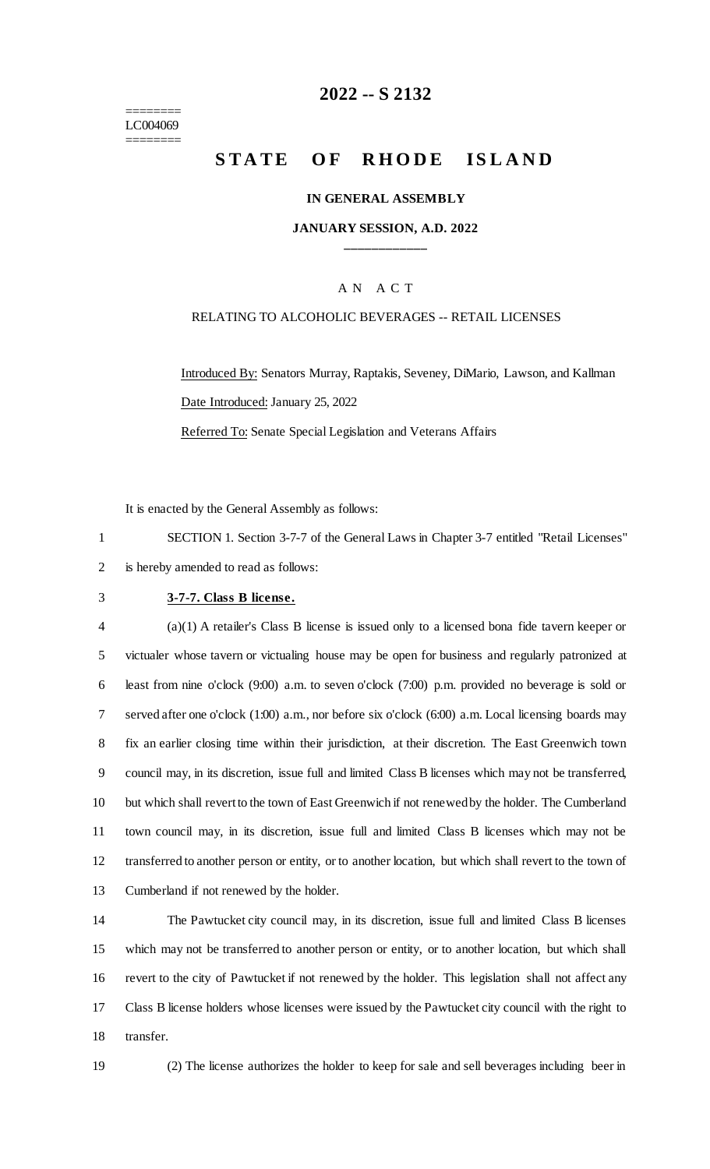======== LC004069 ========

### **-- S 2132**

# **STATE OF RHODE ISLAND**

#### **IN GENERAL ASSEMBLY**

#### **JANUARY SESSION, A.D. 2022 \_\_\_\_\_\_\_\_\_\_\_\_**

#### A N A C T

#### RELATING TO ALCOHOLIC BEVERAGES -- RETAIL LICENSES

Introduced By: Senators Murray, Raptakis, Seveney, DiMario, Lawson, and Kallman Date Introduced: January 25, 2022

Referred To: Senate Special Legislation and Veterans Affairs

It is enacted by the General Assembly as follows:

 SECTION 1. Section 3-7-7 of the General Laws in Chapter 3-7 entitled "Retail Licenses" is hereby amended to read as follows:

#### **3-7-7. Class B license.**

 (a)(1) A retailer's Class B license is issued only to a licensed bona fide tavern keeper or victualer whose tavern or victualing house may be open for business and regularly patronized at least from nine o'clock (9:00) a.m. to seven o'clock (7:00) p.m. provided no beverage is sold or served after one o'clock (1:00) a.m., nor before six o'clock (6:00) a.m. Local licensing boards may fix an earlier closing time within their jurisdiction, at their discretion. The East Greenwich town council may, in its discretion, issue full and limited Class B licenses which may not be transferred, but which shall revert to the town of East Greenwich if not renewed by the holder. The Cumberland town council may, in its discretion, issue full and limited Class B licenses which may not be transferred to another person or entity, or to another location, but which shall revert to the town of Cumberland if not renewed by the holder.

 The Pawtucket city council may, in its discretion, issue full and limited Class B licenses which may not be transferred to another person or entity, or to another location, but which shall revert to the city of Pawtucket if not renewed by the holder. This legislation shall not affect any Class B license holders whose licenses were issued by the Pawtucket city council with the right to transfer.

(2) The license authorizes the holder to keep for sale and sell beverages including beer in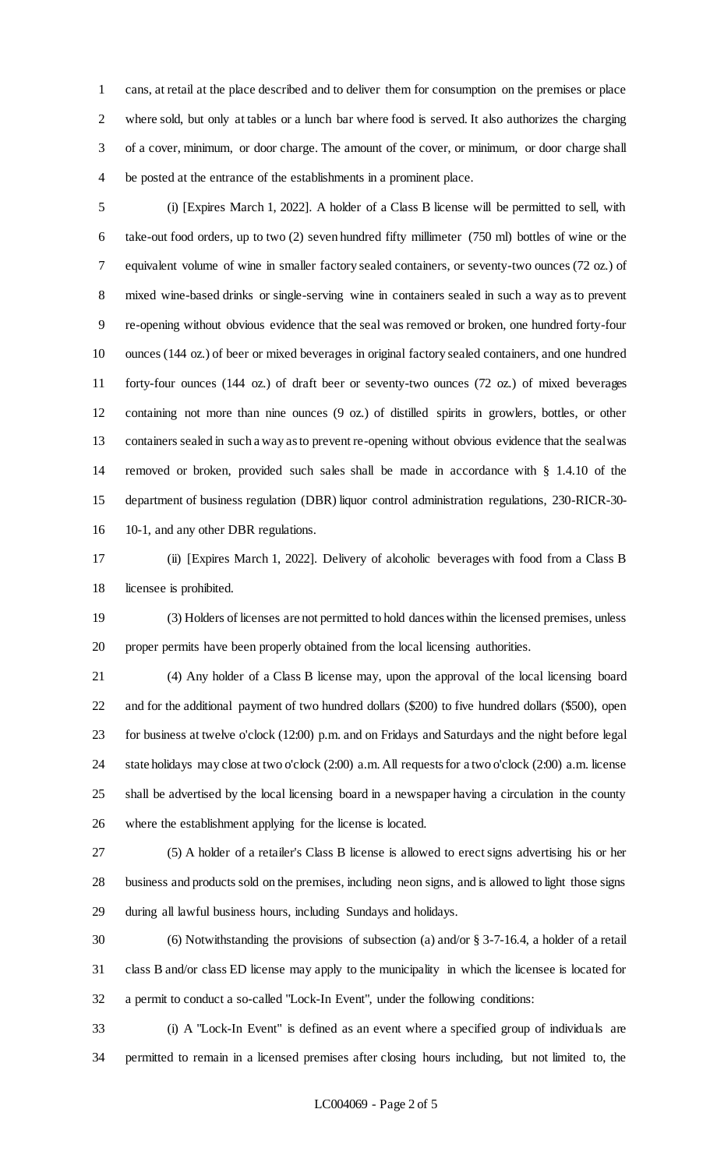cans, at retail at the place described and to deliver them for consumption on the premises or place where sold, but only at tables or a lunch bar where food is served. It also authorizes the charging of a cover, minimum, or door charge. The amount of the cover, or minimum, or door charge shall be posted at the entrance of the establishments in a prominent place.

 (i) [Expires March 1, 2022]. A holder of a Class B license will be permitted to sell, with take-out food orders, up to two (2) seven hundred fifty millimeter (750 ml) bottles of wine or the equivalent volume of wine in smaller factory sealed containers, or seventy-two ounces (72 oz.) of mixed wine-based drinks or single-serving wine in containers sealed in such a way as to prevent re-opening without obvious evidence that the seal was removed or broken, one hundred forty-four ounces (144 oz.) of beer or mixed beverages in original factory sealed containers, and one hundred forty-four ounces (144 oz.) of draft beer or seventy-two ounces (72 oz.) of mixed beverages containing not more than nine ounces (9 oz.) of distilled spirits in growlers, bottles, or other containers sealed in such a way as to prevent re-opening without obvious evidence that the seal was removed or broken, provided such sales shall be made in accordance with § 1.4.10 of the department of business regulation (DBR) liquor control administration regulations, 230-RICR-30- 10-1, and any other DBR regulations.

 (ii) [Expires March 1, 2022]. Delivery of alcoholic beverages with food from a Class B licensee is prohibited.

 (3) Holders of licenses are not permitted to hold dances within the licensed premises, unless proper permits have been properly obtained from the local licensing authorities.

 (4) Any holder of a Class B license may, upon the approval of the local licensing board and for the additional payment of two hundred dollars (\$200) to five hundred dollars (\$500), open for business at twelve o'clock (12:00) p.m. and on Fridays and Saturdays and the night before legal state holidays may close at two o'clock (2:00) a.m. All requests for a two o'clock (2:00) a.m. license shall be advertised by the local licensing board in a newspaper having a circulation in the county where the establishment applying for the license is located.

 (5) A holder of a retailer's Class B license is allowed to erect signs advertising his or her business and products sold on the premises, including neon signs, and is allowed to light those signs during all lawful business hours, including Sundays and holidays.

 (6) Notwithstanding the provisions of subsection (a) and/or § 3-7-16.4, a holder of a retail class B and/or class ED license may apply to the municipality in which the licensee is located for a permit to conduct a so-called "Lock-In Event", under the following conditions:

 (i) A "Lock-In Event" is defined as an event where a specified group of individuals are permitted to remain in a licensed premises after closing hours including, but not limited to, the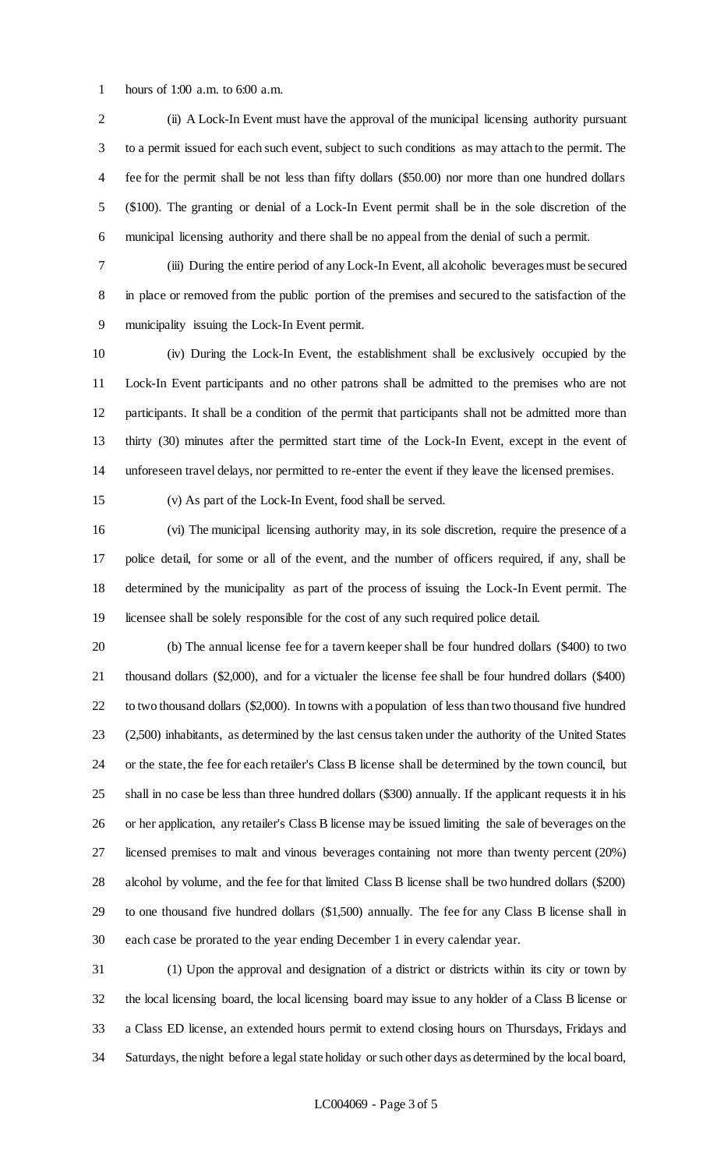hours of 1:00 a.m. to 6:00 a.m.

 (ii) A Lock-In Event must have the approval of the municipal licensing authority pursuant to a permit issued for each such event, subject to such conditions as may attach to the permit. The fee for the permit shall be not less than fifty dollars (\$50.00) nor more than one hundred dollars (\$100). The granting or denial of a Lock-In Event permit shall be in the sole discretion of the municipal licensing authority and there shall be no appeal from the denial of such a permit.

 (iii) During the entire period of any Lock-In Event, all alcoholic beverages must be secured in place or removed from the public portion of the premises and secured to the satisfaction of the municipality issuing the Lock-In Event permit.

 (iv) During the Lock-In Event, the establishment shall be exclusively occupied by the Lock-In Event participants and no other patrons shall be admitted to the premises who are not participants. It shall be a condition of the permit that participants shall not be admitted more than thirty (30) minutes after the permitted start time of the Lock-In Event, except in the event of unforeseen travel delays, nor permitted to re-enter the event if they leave the licensed premises.

(v) As part of the Lock-In Event, food shall be served.

 (vi) The municipal licensing authority may, in its sole discretion, require the presence of a police detail, for some or all of the event, and the number of officers required, if any, shall be determined by the municipality as part of the process of issuing the Lock-In Event permit. The licensee shall be solely responsible for the cost of any such required police detail.

 (b) The annual license fee for a tavern keeper shall be four hundred dollars (\$400) to two thousand dollars (\$2,000), and for a victualer the license fee shall be four hundred dollars (\$400) to two thousand dollars (\$2,000). In towns with a population of less than two thousand five hundred (2,500) inhabitants, as determined by the last census taken under the authority of the United States or the state, the fee for each retailer's Class B license shall be determined by the town council, but shall in no case be less than three hundred dollars (\$300) annually. If the applicant requests it in his or her application, any retailer's Class B license may be issued limiting the sale of beverages on the licensed premises to malt and vinous beverages containing not more than twenty percent (20%) alcohol by volume, and the fee for that limited Class B license shall be two hundred dollars (\$200) to one thousand five hundred dollars (\$1,500) annually. The fee for any Class B license shall in each case be prorated to the year ending December 1 in every calendar year.

 (1) Upon the approval and designation of a district or districts within its city or town by the local licensing board, the local licensing board may issue to any holder of a Class B license or a Class ED license, an extended hours permit to extend closing hours on Thursdays, Fridays and Saturdays, the night before a legal state holiday or such other days as determined by the local board,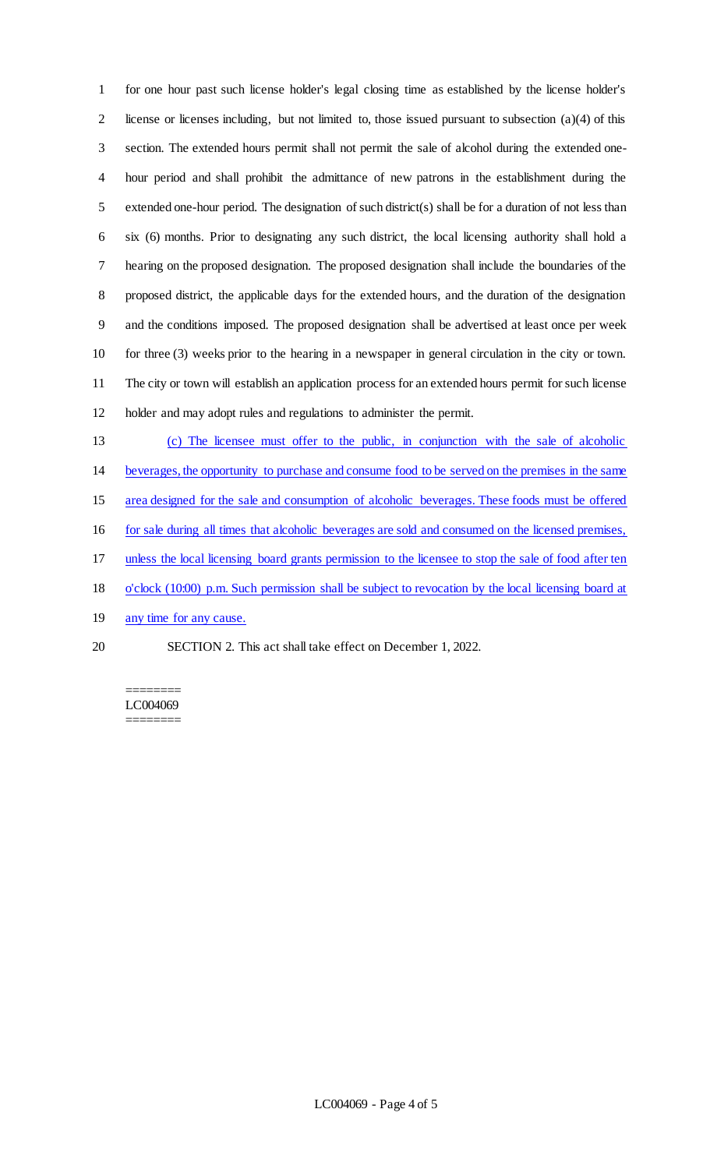for one hour past such license holder's legal closing time as established by the license holder's 2 license or licenses including, but not limited to, those issued pursuant to subsection  $(a)(4)$  of this section. The extended hours permit shall not permit the sale of alcohol during the extended one- hour period and shall prohibit the admittance of new patrons in the establishment during the extended one-hour period. The designation of such district(s) shall be for a duration of not less than six (6) months. Prior to designating any such district, the local licensing authority shall hold a hearing on the proposed designation. The proposed designation shall include the boundaries of the proposed district, the applicable days for the extended hours, and the duration of the designation and the conditions imposed. The proposed designation shall be advertised at least once per week for three (3) weeks prior to the hearing in a newspaper in general circulation in the city or town. The city or town will establish an application process for an extended hours permit for such license holder and may adopt rules and regulations to administer the permit.

- (c) The licensee must offer to the public, in conjunction with the sale of alcoholic
- beverages, the opportunity to purchase and consume food to be served on the premises in the same
- area designed for the sale and consumption of alcoholic beverages. These foods must be offered
- for sale during all times that alcoholic beverages are sold and consumed on the licensed premises,
- unless the local licensing board grants permission to the licensee to stop the sale of food after ten
- o'clock (10:00) p.m. Such permission shall be subject to revocation by the local licensing board at
- 19 any time for any cause.
- 
- SECTION 2. This act shall take effect on December 1, 2022.

======== LC004069 ========